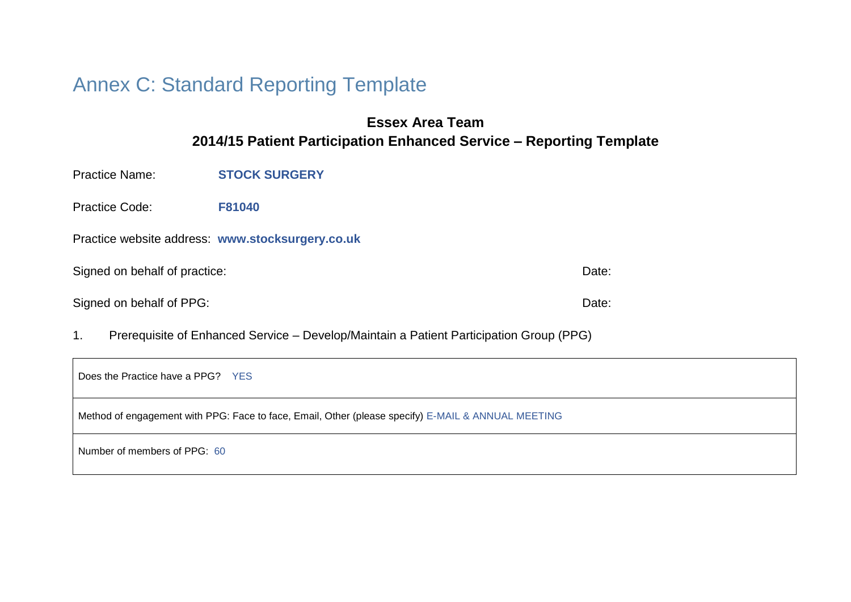# Annex C: Standard Reporting Template

### **Essex Area Team 2014/15 Patient Participation Enhanced Service – Reporting Template**

Practice Name: **STOCK SURGERY**

Practice Code: **F81040**

Practice website address: **www.stocksurgery.co.uk**

Signed on behalf of practice: Date: Date: Date: Date: Date: Date: Date: Date: Date: Date: Date: Date: Date: Date: Date: Date: Date: Date: Date: Date: Date: Date: Date: Date: Date: Date: Date: Date: Date: Date: Date: Date:

Signed on behalf of PPG: Date: Date: Date: Date: Date: Date: Date: Date: Date: Date: Date: Date: Date: Date: Date: Date: Date: Date: Date: Date: Date: Date: Date: Date: Date: Date: Date: Date: Date: Date: Date: Date: Date:

1. Prerequisite of Enhanced Service – Develop/Maintain a Patient Participation Group (PPG)

| Does the Practice have a PPG? YES                                                                  |
|----------------------------------------------------------------------------------------------------|
| Method of engagement with PPG: Face to face, Email, Other (please specify) E-MAIL & ANNUAL MEETING |
| Number of members of PPG: 60                                                                       |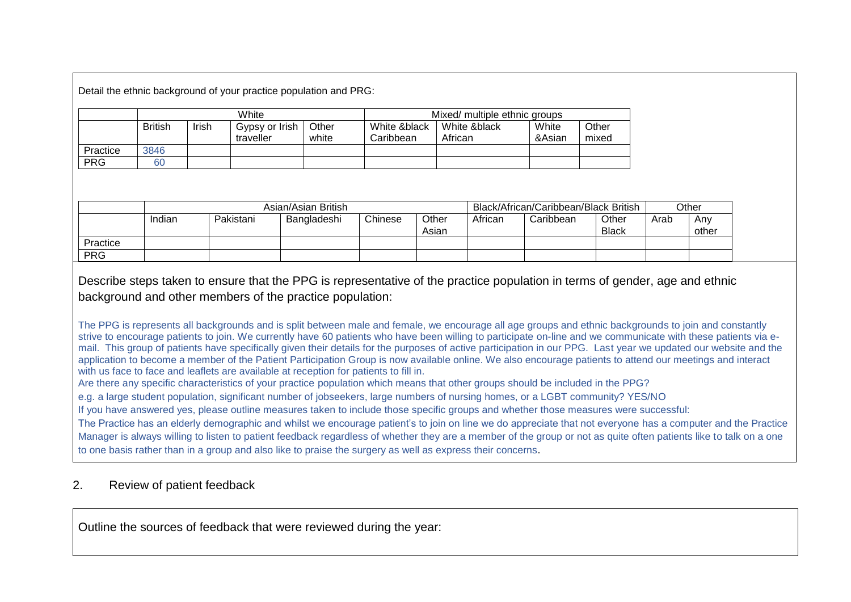Detail the ethnic background of your practice population and PRG:

|            | White          |       |                             |                | Mixed/ multiple ethnic groups |                         |                 |                |  |
|------------|----------------|-------|-----------------------------|----------------|-------------------------------|-------------------------|-----------------|----------------|--|
|            | <b>British</b> | Irish | Gypsy or Irish<br>traveller | Other<br>white | White &black<br>Caribbean     | White &black<br>African | White<br>&Asian | Other<br>mixed |  |
| Practice   | 3846           |       |                             |                |                               |                         |                 |                |  |
| <b>PRG</b> | 60             |       |                             |                |                               |                         |                 |                |  |

|            | Asian/Asian British |           |             |         | Black/African/Caribbean/Black British |         |           | Other                 |      |              |
|------------|---------------------|-----------|-------------|---------|---------------------------------------|---------|-----------|-----------------------|------|--------------|
|            | Indian              | Pakistani | Bangladeshi | Chinese | Other<br>Asian                        | African | Caribbean | Other<br><b>Black</b> | Arab | Any<br>other |
| Practice   |                     |           |             |         |                                       |         |           |                       |      |              |
| <b>PRG</b> |                     |           |             |         |                                       |         |           |                       |      |              |

Describe steps taken to ensure that the PPG is representative of the practice population in terms of gender, age and ethnic background and other members of the practice population:

The PPG is represents all backgrounds and is split between male and female, we encourage all age groups and ethnic backgrounds to join and constantly strive to encourage patients to join. We currently have 60 patients who have been willing to participate on-line and we communicate with these patients via email. This group of patients have specifically given their details for the purposes of active participation in our PPG. Last year we updated our website and the application to become a member of the Patient Participation Group is now available online. We also encourage patients to attend our meetings and interact with us face to face and leaflets are available at reception for patients to fill in.

Are there any specific characteristics of your practice population which means that other groups should be included in the PPG?

e.g. a large student population, significant number of jobseekers, large numbers of nursing homes, or a LGBT community? YES/NO

If you have answered yes, please outline measures taken to include those specific groups and whether those measures were successful:

The Practice has an elderly demographic and whilst we encourage patient's to join on line we do appreciate that not everyone has a computer and the Practice Manager is always willing to listen to patient feedback regardless of whether they are a member of the group or not as quite often patients like to talk on a one to one basis rather than in a group and also like to praise the surgery as well as express their concerns.

### 2. Review of patient feedback

Outline the sources of feedback that were reviewed during the year: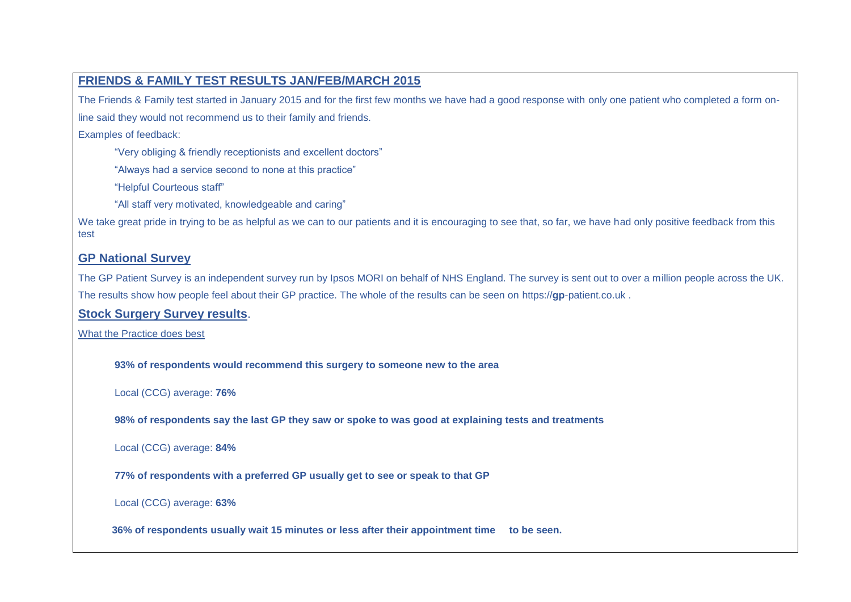### **FRIENDS & FAMILY TEST RESULTS JAN/FEB/MARCH 2015**

The Friends & Family test started in January 2015 and for the first few months we have had a good response with only one patient who completed a form on-

line said they would not recommend us to their family and friends.

Examples of feedback:

"Very obliging & friendly receptionists and excellent doctors"

"Always had a service second to none at this practice"

"Helpful Courteous staff"

"All staff very motivated, knowledgeable and caring"

We take great pride in trying to be as helpful as we can to our patients and it is encouraging to see that, so far, we have had only positive feedback from this test

### **GP National Survey**

The GP Patient Survey is an independent survey run by Ipsos MORI on behalf of NHS England. The survey is sent out to over a million people across the UK. The results show how people feel about their GP practice. The whole of the results can be seen on https://**gp**-patient.co.uk .

### **Stock Surgery Survey results**.

What the Practice does best

**93% of respondents would recommend this surgery to someone new to the area** 

Local (CCG) average: **76%**

**98% of respondents say the last GP they saw or spoke to was good at explaining tests and treatments** 

Local (CCG) average: **84%**

**77% of respondents with a preferred GP usually get to see or speak to that GP** 

Local (CCG) average: **63%**

**36% of respondents usually wait 15 minutes or less after their appointment time to be seen.**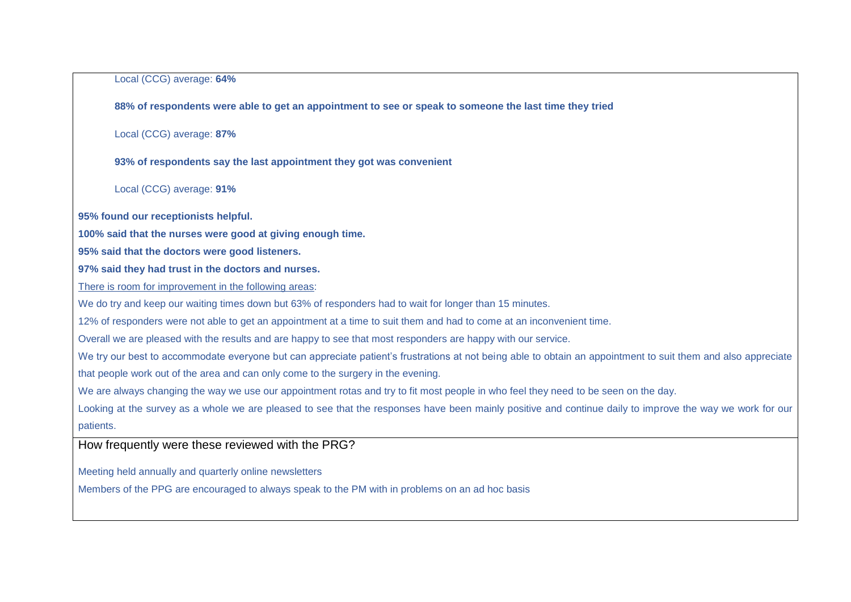Local (CCG) average: **64%**

**88% of respondents were able to get an appointment to see or speak to someone the last time they tried** 

Local (CCG) average: **87%**

**93% of respondents say the last appointment they got was convenient** 

Local (CCG) average: **91%**

**95% found our receptionists helpful.**

**100% said that the nurses were good at giving enough time.**

**95% said that the doctors were good listeners.**

**97% said they had trust in the doctors and nurses.**

There is room for improvement in the following areas:

We do try and keep our waiting times down but 63% of responders had to wait for longer than 15 minutes.

12% of responders were not able to get an appointment at a time to suit them and had to come at an inconvenient time.

Overall we are pleased with the results and are happy to see that most responders are happy with our service.

We try our best to accommodate everyone but can appreciate patient's frustrations at not being able to obtain an appointment to suit them and also appreciate

that people work out of the area and can only come to the surgery in the evening.

We are always changing the way we use our appointment rotas and try to fit most people in who feel they need to be seen on the day.

Looking at the survey as a whole we are pleased to see that the responses have been mainly positive and continue daily to improve the way we work for our patients.

How frequently were these reviewed with the PRG?

Meeting held annually and quarterly online newsletters

Members of the PPG are encouraged to always speak to the PM with in problems on an ad hoc basis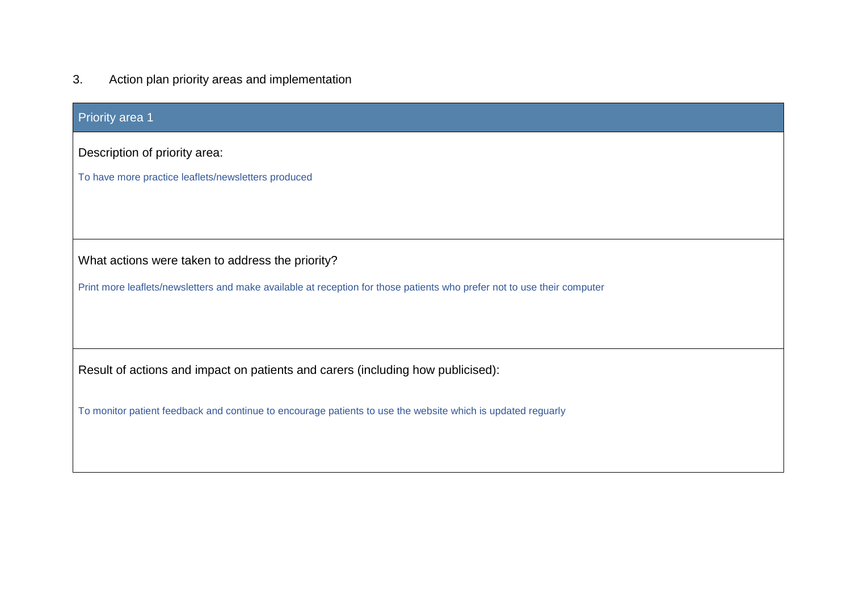## 3. Action plan priority areas and implementation

| <b>Priority area 1</b>                                                                                                  |  |  |  |  |  |  |
|-------------------------------------------------------------------------------------------------------------------------|--|--|--|--|--|--|
| Description of priority area:                                                                                           |  |  |  |  |  |  |
| To have more practice leaflets/newsletters produced                                                                     |  |  |  |  |  |  |
|                                                                                                                         |  |  |  |  |  |  |
|                                                                                                                         |  |  |  |  |  |  |
| What actions were taken to address the priority?                                                                        |  |  |  |  |  |  |
| Print more leaflets/newsletters and make available at reception for those patients who prefer not to use their computer |  |  |  |  |  |  |
|                                                                                                                         |  |  |  |  |  |  |
|                                                                                                                         |  |  |  |  |  |  |
| Result of actions and impact on patients and carers (including how publicised):                                         |  |  |  |  |  |  |
| To monitor patient feedback and continue to encourage patients to use the website which is updated reguarly             |  |  |  |  |  |  |
|                                                                                                                         |  |  |  |  |  |  |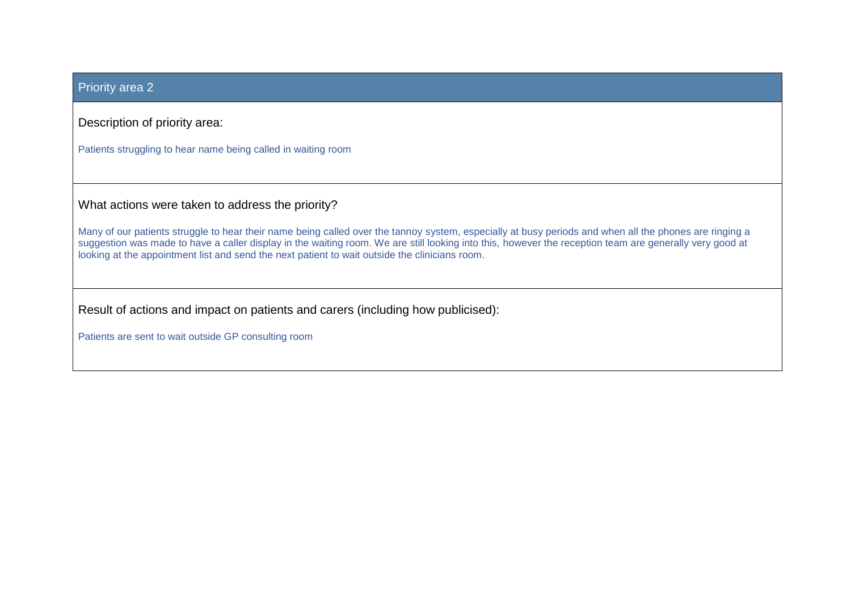### Priority area 2

Description of priority area:

Patients struggling to hear name being called in waiting room

What actions were taken to address the priority?

Many of our patients struggle to hear their name being called over the tannoy system, especially at busy periods and when all the phones are ringing a suggestion was made to have a caller display in the waiting room. We are still looking into this, however the reception team are generally very good at looking at the appointment list and send the next patient to wait outside the clinicians room.

Result of actions and impact on patients and carers (including how publicised):

Patients are sent to wait outside GP consulting room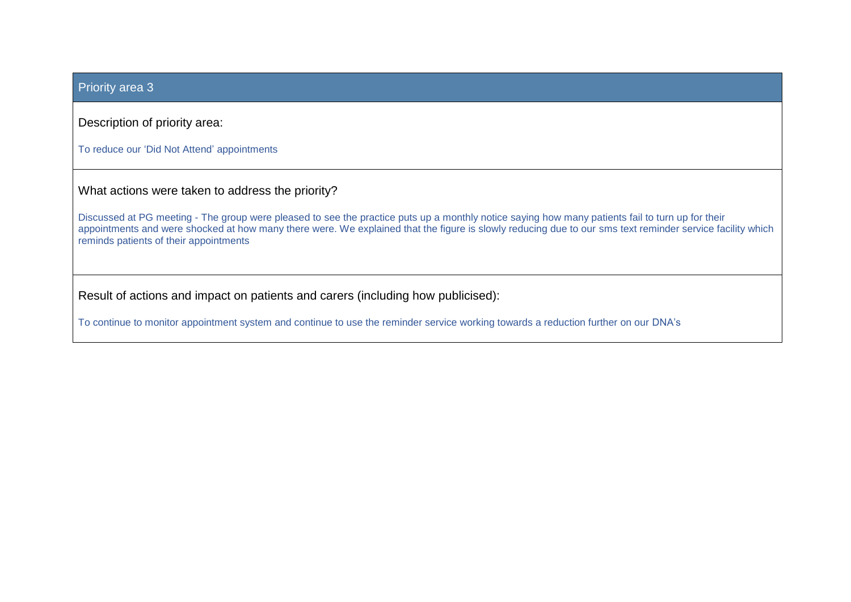### Priority area 3

Description of priority area:

To reduce our 'Did Not Attend' appointments

What actions were taken to address the priority?

Discussed at PG meeting - The group were pleased to see the practice puts up a monthly notice saying how many patients fail to turn up for their appointments and were shocked at how many there were. We explained that the figure is slowly reducing due to our sms text reminder service facility which reminds patients of their appointments

Result of actions and impact on patients and carers (including how publicised):

To continue to monitor appointment system and continue to use the reminder service working towards a reduction further on our DNA's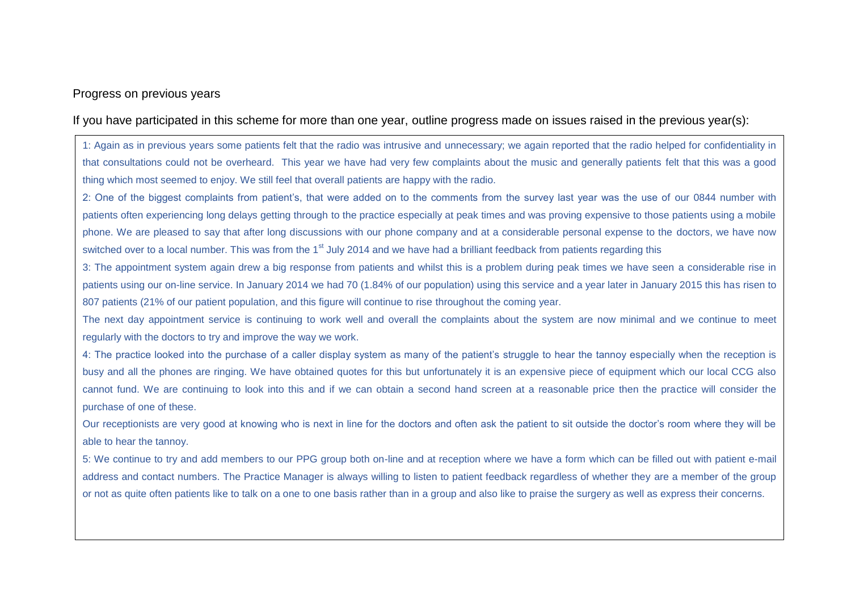### Progress on previous years

If you have participated in this scheme for more than one year, outline progress made on issues raised in the previous year(s):

1: Again as in previous years some patients felt that the radio was intrusive and unnecessary; we again reported that the radio helped for confidentiality in that consultations could not be overheard. This year we have had very few complaints about the music and generally patients felt that this was a good thing which most seemed to enjoy. We still feel that overall patients are happy with the radio.

2: One of the biggest complaints from patient's, that were added on to the comments from the survey last year was the use of our 0844 number with patients often experiencing long delays getting through to the practice especially at peak times and was proving expensive to those patients using a mobile phone. We are pleased to say that after long discussions with our phone company and at a considerable personal expense to the doctors, we have now switched over to a local number. This was from the 1<sup>st</sup> July 2014 and we have had a brilliant feedback from patients regarding this

3: The appointment system again drew a big response from patients and whilst this is a problem during peak times we have seen a considerable rise in patients using our on-line service. In January 2014 we had 70 (1.84% of our population) using this service and a year later in January 2015 this has risen to 807 patients (21% of our patient population, and this figure will continue to rise throughout the coming year.

The next day appointment service is continuing to work well and overall the complaints about the system are now minimal and we continue to meet regularly with the doctors to try and improve the way we work.

4: The practice looked into the purchase of a caller display system as many of the patient's struggle to hear the tannoy especially when the reception is busy and all the phones are ringing. We have obtained quotes for this but unfortunately it is an expensive piece of equipment which our local CCG also cannot fund. We are continuing to look into this and if we can obtain a second hand screen at a reasonable price then the practice will consider the purchase of one of these.

Our receptionists are very good at knowing who is next in line for the doctors and often ask the patient to sit outside the doctor's room where they will be able to hear the tannoy.

5: We continue to try and add members to our PPG group both on-line and at reception where we have a form which can be filled out with patient e-mail address and contact numbers. The Practice Manager is always willing to listen to patient feedback regardless of whether they are a member of the group or not as quite often patients like to talk on a one to one basis rather than in a group and also like to praise the surgery as well as express their concerns.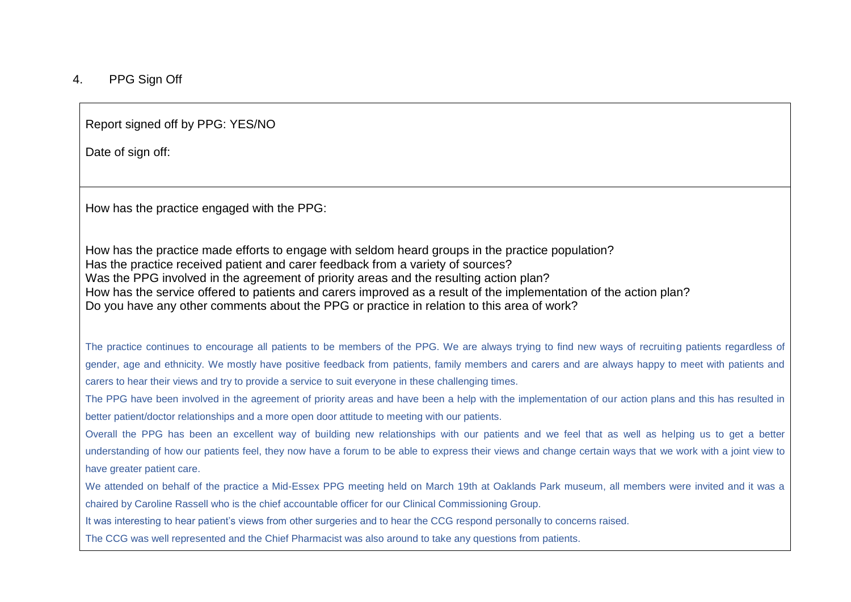### 4. PPG Sign Off

Report signed off by PPG: YES/NO

Date of sign off:

How has the practice engaged with the PPG:

How has the practice made efforts to engage with seldom heard groups in the practice population? Has the practice received patient and carer feedback from a variety of sources? Was the PPG involved in the agreement of priority areas and the resulting action plan? How has the service offered to patients and carers improved as a result of the implementation of the action plan? Do you have any other comments about the PPG or practice in relation to this area of work?

The practice continues to encourage all patients to be members of the PPG. We are always trying to find new ways of recruiting patients regardless of gender, age and ethnicity. We mostly have positive feedback from patients, family members and carers and are always happy to meet with patients and carers to hear their views and try to provide a service to suit everyone in these challenging times.

The PPG have been involved in the agreement of priority areas and have been a help with the implementation of our action plans and this has resulted in better patient/doctor relationships and a more open door attitude to meeting with our patients.

Overall the PPG has been an excellent way of building new relationships with our patients and we feel that as well as helping us to get a better understanding of how our patients feel, they now have a forum to be able to express their views and change certain ways that we work with a joint view to have greater patient care.

We attended on behalf of the practice a Mid-Essex PPG meeting held on March 19th at Oaklands Park museum, all members were invited and it was a chaired by Caroline Rassell who is the chief accountable officer for our Clinical Commissioning Group.

It was interesting to hear patient's views from other surgeries and to hear the CCG respond personally to concerns raised.

The CCG was well represented and the Chief Pharmacist was also around to take any questions from patients.